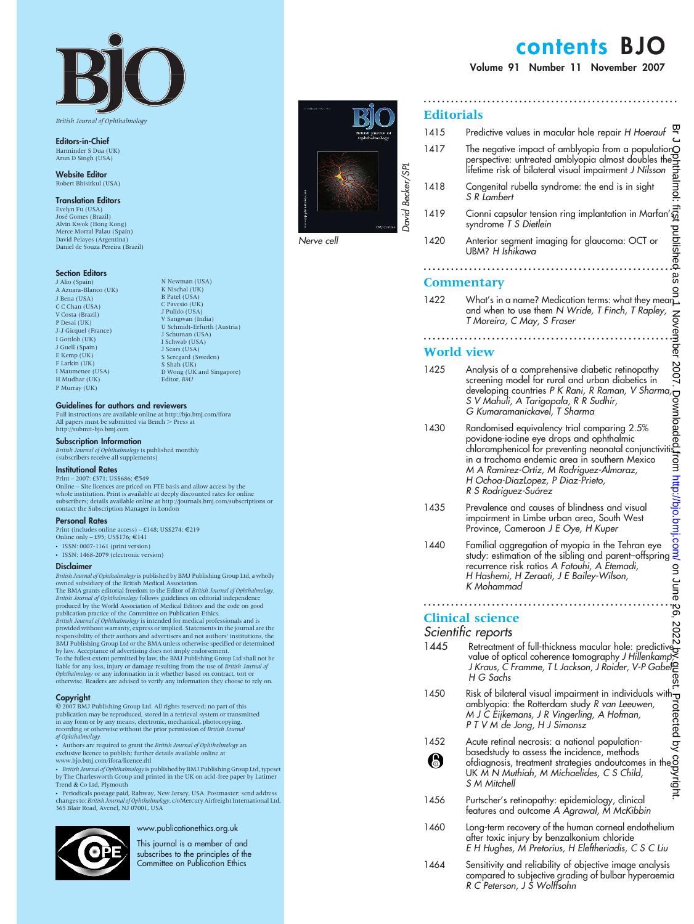British Journal of Ophthalmology

Editors-in-Chief Harminder S Dua (UK) Arun D Singh (USA)

Website Editor Robert Bhisitkul (USA)

Translation Editors

Evelyn Fu (USA) Jose´ Gomes (Brazil) Alvin Kwok (Hong Kong) Merce Morral Palau (Spain) David Pelayes (Argentina) Daniel de Souza Pereira (Brazil)

### **Section Editors**

J Alio (Spain) A Azuara-Blanco (UK) J Bena (USA)  $C$  Chan (IISA) V Costa (Brazil) P Desai (UK) J-J Gicquel (France) I Gottlob (UK) J Guell (Spain) E Kemp (UK) F Larkin (UK) I Maumenee (USA) H Mudhar (UK) P Murray (UK)

K Nischal (UK) B Patel (USA) C Pavesio (UK) J Pulido (USA) V Sangwan (India) U Schmidt-Erfurth (Austria) J Schuman (USA) I Schwab (USA) J Sears (USA) S Seregard (Sweden) S Shah (UK) D Wong (UK and Singapore) Editor, BMJ

N Newman (USA)

### Guidelines for authors and reviewers

Full instructions are available online at http://bjo.bmj.com/ifora<br>All papers must be submitted via Bench > Press at http://submit-bjo.bmj.com

### Subscription Information

British Journal of Ophthalmology is published monthly<br>(subscribers receive all supplements)

### Institutional Rates

Print – 2007: £371; US\$686; €549 Online – Site licences are priced on FTE basis and allow access by the whole institution. Print is available at deeply discounted rates for online subscribers; details available online at http://journals.bmj.com/subscriptions or contact the Subscription Manager in London

### Personal Rates

Print (includes online access) – £148; US\$274;  $\in$ 219<br>Online only – £95; US\$176;  $\in$ 141

- $N = 18$ SSN: 0007-1161 (print version)
- ISSN: 1468-2079 (electronic version)

### Disclaimer

British Journal of Ophthalmology is published by BMJ Publishing Group Ltd, a wholly<br>owned subsidiary of the British Medical Association.

The BMA grants editorial freedom to the Editor of *British Journal of Ophthalmology.*<br>*British Journal of Ophthalmology* follows guidelines on editorial independence produced by the World Association of Medical Editors and *British Journal of Ophthalmology* is intended for medical professionals and is<br>provided without warranty, express or implied. Statements in the journal are the<br>responsibility of their authors and advertisers and not autho

by law. Acceptance of advertising does not imply endorsement.<br>To the fullest extent permitted by law, the BMJ Publishing Group Ltd shall not be<br>liable for any loss, injury or damage resulting from the use of *British Journ* Ophthalmology or any information in it whether based on contract, tort or otherwise. Readers are advised to verify any information they choose to rely on.

#### **Copyright**

 $@$  2007 BMJ Publishing Group Ltd. All rights reserved; no part of this<br>publication may be reproduced, stored in a retrieval system or transmitted<br>in any form or by any means, electronic, mechanical, photocopying,<br>recordi

• Authors are required to grant the British Journal of Ophthalmology an exclusive licence to publish; further details available online at www.bjo.bmj.com/ifora/licence.dtl

• British Journal of Ophthalmology is published by BMJ Publishing Group Ltd, typeset by The Charlesworth Group and printed in the UK on acid-free paper by Latimer Trend & Co Ltd, Plymouth

• Periodicals postage paid, Rahway, New Jersey, USA. Postmaster: send address<br>changes to: *British Journal of Ophthalmology, c/oM*ercury Airfreight International Ltd,<br>365 Blair Road, Avenel, NJ 07001, USA



### www.publicationethics.org.uk

This journal is a member of and subscribes to the principles of the Committee on Publication Ethics



Nerve cell

# contents BJO

Volume 91 Number 11 November 2007

........................................................

## **Editorials**

| Editori                                                                                      |                                                                                                                                                                                                                                                                                                                                 |               |
|----------------------------------------------------------------------------------------------|---------------------------------------------------------------------------------------------------------------------------------------------------------------------------------------------------------------------------------------------------------------------------------------------------------------------------------|---------------|
| 1415                                                                                         | Predictive values in macular hole repair H Hoerauf                                                                                                                                                                                                                                                                              |               |
| 1417                                                                                         | The negative impact of amblyopia from a population $\bigcirc$<br>perspective: untreated amblyopia almost doubles the<br>lifetime risk of bilateral visual impairment J Nilsson                                                                                                                                                  |               |
| 1418                                                                                         | Congenital rubella syndrome: the end is in sight<br>S R Lambert                                                                                                                                                                                                                                                                 |               |
| 1419                                                                                         | Cionni capsular tension ring implantation in Marfan'<br>ฐ<br>syndrome T S Dietlein                                                                                                                                                                                                                                              |               |
| 1420                                                                                         | published as<br>Anterior segment imaging for glaucoma: OCT or<br>UBM? H Ishikawa                                                                                                                                                                                                                                                |               |
|                                                                                              |                                                                                                                                                                                                                                                                                                                                 |               |
| Commentary<br>$\frac{1}{2}$ What's in a name? Medication terms: what they mear $\frac{1}{2}$ |                                                                                                                                                                                                                                                                                                                                 |               |
| 1422                                                                                         | and when to use them N Wride, T Finch, T Rapley,<br>T Moreira, C May, S Fraser                                                                                                                                                                                                                                                  |               |
| <b>November</b><br>World view                                                                |                                                                                                                                                                                                                                                                                                                                 |               |
| 1425                                                                                         | Analysis of a comprehensive diabetic retinopathy<br>screening model for rural and urban diabetics in<br>developing countries P K Rani, R Raman, V Sharma<br>S V Mahuli, A Tarigopala, R R Sudhir,<br>G Kumaramanickavel, T Sharma                                                                                               |               |
| 1430                                                                                         | ig<br>De<br>Randomised equivalency trial comparing 2.5%<br>povidone-iodine eye drops and ophthalmic<br>led,fi<br>chloramphenicol for preventing neonatal conjunctiviti<br>in a trachoma endemic area in southern Mexico<br>M A Ramirez-Ortiz, M Rodriguez-Almaraz,<br>H Ochoa-DiazLopez, P Diaz-Prieto,<br>R S Rodriguez-Suárez |               |
| 1435                                                                                         | Prevalence and causes of blindness and visual<br>impairment in Limbe urban area, South West<br>Province, Cameroon J E Oye, H Kuper                                                                                                                                                                                              | /bjo.bmj.com/ |
| 1440                                                                                         | Familial aggregation of myopia in the Tehran eye<br>study: estimation of the sibling and parent-offspring<br>recurrence risk ratios A Fotouhi, A Etemadi,<br>H Hashemi, H Zeraati, J E Bailey-Wilson,<br>K Mohammad                                                                                                             | on June 26,   |
|                                                                                              |                                                                                                                                                                                                                                                                                                                                 |               |
|                                                                                              | <b>Clinical science</b>                                                                                                                                                                                                                                                                                                         | ğ             |
| 1445                                                                                         | Scientific reports<br>Retreatment of full-thickness macular hole: predictived<br>value of optical coherence tomography J Hillenkamp<br>J Kraus, C Framme, T L Jackson, J Roider, V-P Gabele<br>H G Sachs<br>თ<br>ფ                                                                                                              | N             |
| 1450                                                                                         | Risk of bilateral visual impairment in individuals with $\mathbf \tau$                                                                                                                                                                                                                                                          |               |
| 1452<br>8                                                                                    | KISK of bioterical visual impairment in individuals with<br>amb/opici: the Rotterdam study R van Leeuwen,<br>M J C Eijkemans, J R Vingerling, A Hofman,<br>P T V M de Jong, H J Simonsz<br>Acute retinal necrosis: a national populati                                                                                          |               |
| 1456                                                                                         | Purtscher's retinopathy: epidemiology, clinical<br>features and outcome A Agrawal, M McKibbin                                                                                                                                                                                                                                   |               |
| 1460                                                                                         | Long-term recovery of the human corneal endothelium<br>after toxic injury by benzalkonium chloride<br>E H Hughes, M Pretorius, H Eleftheriadis, C S C Liu                                                                                                                                                                       |               |

1464 Sensitivity and reliability of objective image analysis compared to subjective grading of bulbar hyperaemia R C Peterson, J S Wolffsohn